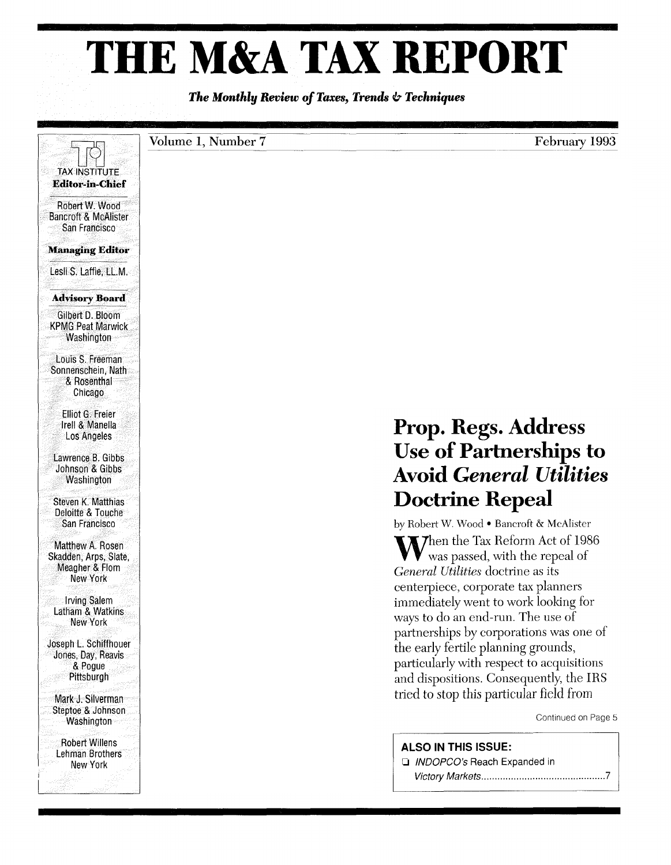## **THE M&A TAX REPORT**

*The Monthly Review of Taxes, Trends* **&** *Techniques*